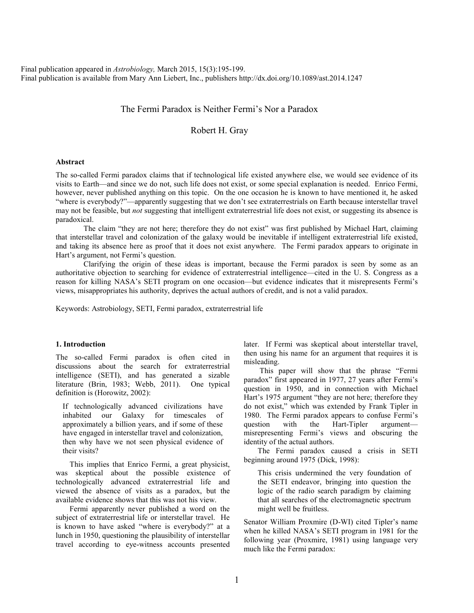Final publication appeared in *Astrobiology,* March 2015, 15(3):195-199. Final publication is available from Mary Ann Liebert, Inc., publishers http://dx.doi.org/10.1089/ast.2014.1247

# The Fermi Paradox is Neither Fermi's Nor a Paradox

### Robert H. Gray

### **Abstract**

The so-called Fermi paradox claims that if technological life existed anywhere else, we would see evidence of its visits to Earth—and since we do not, such life does not exist, or some special explanation is needed. Enrico Fermi, however, never published anything on this topic. On the one occasion he is known to have mentioned it, he asked "where is everybody?"—apparently suggesting that we don't see extraterrestrials on Earth because interstellar travel may not be feasible, but *not* suggesting that intelligent extraterrestrial life does not exist, or suggesting its absence is paradoxical.

The claim "they are not here; therefore they do not exist" was first published by Michael Hart, claiming that interstellar travel and colonization of the galaxy would be inevitable if intelligent extraterrestrial life existed, and taking its absence here as proof that it does not exist anywhere. The Fermi paradox appears to originate in Hart's argument, not Fermi's question.

Clarifying the origin of these ideas is important, because the Fermi paradox is seen by some as an authoritative objection to searching for evidence of extraterrestrial intelligence—cited in the U. S. Congress as a reason for killing NASA's SETI program on one occasion—but evidence indicates that it misrepresents Fermi's views, misappropriates his authority, deprives the actual authors of credit, and is not a valid paradox.

Keywords: Astrobiology, SETI, Fermi paradox, extraterrestrial life

### **1. Introduction**

The so-called Fermi paradox is often cited in discussions about the search for extraterrestrial intelligence (SETI), and has generated a sizable literature (Brin, 1983; Webb, 2011). One typical definition is (Horowitz, 2002):

If technologically advanced civilizations have inhabited our Galaxy for timescales of approximately a billion years, and if some of these have engaged in interstellar travel and colonization, then why have we not seen physical evidence of their visits?

This implies that Enrico Fermi, a great physicist, was skeptical about the possible existence of technologically advanced extraterrestrial life and viewed the absence of visits as a paradox, but the available evidence shows that this was not his view.

Fermi apparently never published a word on the subject of extraterrestrial life or interstellar travel. He is known to have asked "where is everybody?" at a lunch in 1950, questioning the plausibility of interstellar travel according to eye-witness accounts presented

later. If Fermi was skeptical about interstellar travel, then using his name for an argument that requires it is misleading.

 This paper will show that the phrase "Fermi paradox" first appeared in 1977, 27 years after Fermi's question in 1950, and in connection with Michael Hart's 1975 argument "they are not here; therefore they do not exist," which was extended by Frank Tipler in 1980. The Fermi paradox appears to confuse Fermi's question with the Hart-Tipler argument misrepresenting Fermi's views and obscuring the identity of the actual authors.

The Fermi paradox caused a crisis in SETI beginning around 1975 (Dick, 1998):

This crisis undermined the very foundation of the SETI endeavor, bringing into question the logic of the radio search paradigm by claiming that all searches of the electromagnetic spectrum might well be fruitless.

Senator William Proxmire (D-WI) cited Tipler's name when he killed NASA's SETI program in 1981 for the following year (Proxmire, 1981) using language very much like the Fermi paradox: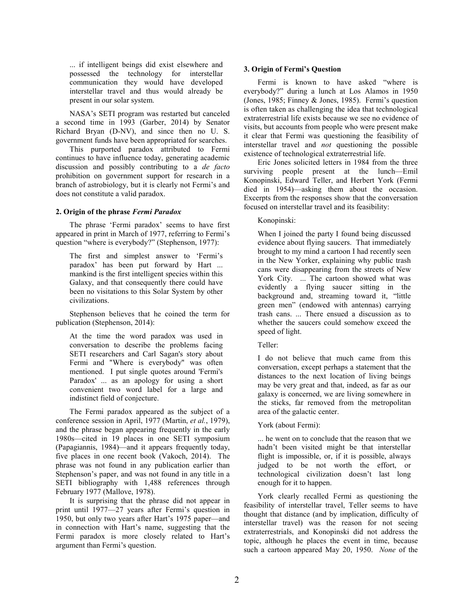... if intelligent beings did exist elsewhere and possessed the technology for interstellar communication they would have developed interstellar travel and thus would already be present in our solar system.

NASA's SETI program was restarted but canceled a second time in 1993 (Garber, 2014) by Senator Richard Bryan (D-NV), and since then no U. S. government funds have been appropriated for searches.

This purported paradox attributed to Fermi continues to have influence today, generating academic discussion and possibly contributing to a *de facto* prohibition on government support for research in a branch of astrobiology, but it is clearly not Fermi's and does not constitute a valid paradox.

## **2. Origin of the phrase** *Fermi Paradox*

The phrase 'Fermi paradox' seems to have first appeared in print in March of 1977, referring to Fermi's question "where is everybody?" (Stephenson, 1977):

The first and simplest answer to 'Fermi's paradox' has been put forward by Hart ... mankind is the first intelligent species within this Galaxy, and that consequently there could have been no visitations to this Solar System by other civilizations.

Stephenson believes that he coined the term for publication (Stephenson, 2014):

At the time the word paradox was used in conversation to describe the problems facing SETI researchers and Carl Sagan's story about Fermi and "Where is everybody" was often mentioned. I put single quotes around 'Fermi's Paradox' ... as an apology for using a short convenient two word label for a large and indistinct field of conjecture.

The Fermi paradox appeared as the subject of a conference session in April, 1977 (Martin, *et al.*, 1979), and the phrase began appearing frequently in the early 1980s—cited in 19 places in one SETI symposium (Papagiannis, 1984)—and it appears frequently today, five places in one recent book (Vakoch, 2014). The phrase was not found in any publication earlier than Stephenson's paper, and was not found in any title in a SETI bibliography with 1,488 references through February 1977 (Mallove, 1978).

It is surprising that the phrase did not appear in print until 1977—27 years after Fermi's question in 1950, but only two years after Hart's 1975 paper—and in connection with Hart's name, suggesting that the Fermi paradox is more closely related to Hart's argument than Fermi's question.

# **3. Origin of Fermi's Question**

Fermi is known to have asked "where is everybody?" during a lunch at Los Alamos in 1950 (Jones, 1985; Finney & Jones, 1985). Fermi's question is often taken as challenging the idea that technological extraterrestrial life exists because we see no evidence of visits, but accounts from people who were present make it clear that Fermi was questioning the feasibility of interstellar travel and *not* questioning the possible existence of technological extraterrestrial life.

Eric Jones solicited letters in 1984 from the three surviving people present at the lunch—Emil Konopinski, Edward Teller, and Herbert York (Fermi died in 1954)—asking them about the occasion. Excerpts from the responses show that the conversation focused on interstellar travel and its feasibility:

# Konopinski:

When I joined the party I found being discussed evidence about flying saucers. That immediately brought to my mind a cartoon I had recently seen in the New Yorker, explaining why public trash cans were disappearing from the streets of New York City. ... The cartoon showed what was evidently a flying saucer sitting in the background and, streaming toward it, "little green men" (endowed with antennas) carrying trash cans. ... There ensued a discussion as to whether the saucers could somehow exceed the speed of light.

# Teller:

I do not believe that much came from this conversation, except perhaps a statement that the distances to the next location of living beings may be very great and that, indeed, as far as our galaxy is concerned, we are living somewhere in the sticks, far removed from the metropolitan area of the galactic center.

# York (about Fermi):

... he went on to conclude that the reason that we hadn't been visited might be that interstellar flight is impossible, or, if it is possible, always judged to be not worth the effort, or technological civilization doesn't last long enough for it to happen.

York clearly recalled Fermi as questioning the feasibility of interstellar travel, Teller seems to have thought that distance (and by implication, difficulty of interstellar travel) was the reason for not seeing extraterrestrials, and Konopinski did not address the topic, although he places the event in time, because such a cartoon appeared May 20, 1950. *None* of the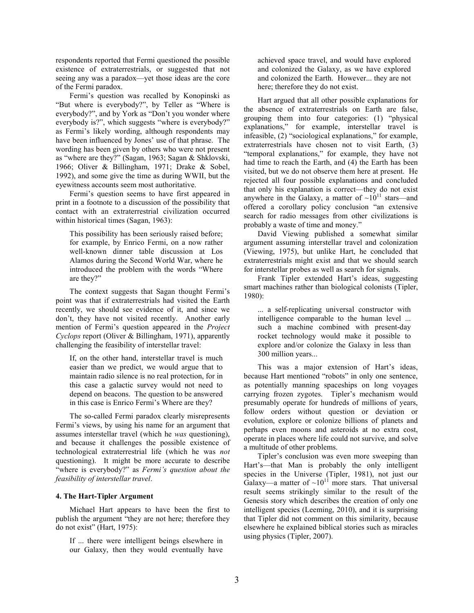respondents reported that Fermi questioned the possible existence of extraterrestrials, or suggested that not seeing any was a paradox—yet those ideas are the core of the Fermi paradox.

Fermi's question was recalled by Konopinski as "But where is everybody?", by Teller as "Where is everybody?", and by York as "Don't you wonder where everybody is?", which suggests "where is everybody?" as Fermi's likely wording, although respondents may have been influenced by Jones' use of that phrase. The wording has been given by others who were not present as "where are they?" (Sagan, 1963; Sagan & Shklovski, 1966; Oliver & Billingham, 1971; Drake & Sobel, 1992), and some give the time as during WWII, but the eyewitness accounts seem most authoritative.

Fermi's question seems to have first appeared in print in a footnote to a discussion of the possibility that contact with an extraterrestrial civilization occurred within historical times (Sagan, 1963):

This possibility has been seriously raised before; for example, by Enrico Fermi, on a now rather well-known dinner table discussion at Los Alamos during the Second World War, where he introduced the problem with the words "Where are they?"

The context suggests that Sagan thought Fermi's point was that if extraterrestrials had visited the Earth recently, we should see evidence of it, and since we don't, they have not visited recently. Another early mention of Fermi's question appeared in the *Project Cyclops* report (Oliver & Billingham, 1971), apparently challenging the feasibility of interstellar travel:

If, on the other hand, interstellar travel is much easier than we predict, we would argue that to maintain radio silence is no real protection, for in this case a galactic survey would not need to depend on beacons. The question to be answered in this case is Enrico Fermi's Where are they?

The so-called Fermi paradox clearly misrepresents Fermi's views, by using his name for an argument that assumes interstellar travel (which he *was* questioning), and because it challenges the possible existence of technological extraterrestrial life (which he was *not* questioning). It might be more accurate to describe "where is everybody?" as *Fermi's question about the feasibility of interstellar travel*.

#### **4. The Hart-Tipler Argument**

Michael Hart appears to have been the first to publish the argument "they are not here; therefore they do not exist" (Hart, 1975):

If ... there were intelligent beings elsewhere in our Galaxy, then they would eventually have achieved space travel, and would have explored and colonized the Galaxy, as we have explored and colonized the Earth. However... they are not here; therefore they do not exist.

Hart argued that all other possible explanations for the absence of extraterrestrials on Earth are false, grouping them into four categories: (1) "physical explanations," for example, interstellar travel is infeasible, (2) "sociological explanations," for example, extraterrestrials have chosen not to visit Earth, (3) "temporal explanations," for example, they have not had time to reach the Earth, and (4) the Earth has been visited, but we do not observe them here at present. He rejected all four possible explanations and concluded that only his explanation is correct—they do not exist anywhere in the Galaxy, a matter of  $\sim 10^{11}$  stars—and offered a corollary policy conclusion "an extensive search for radio messages from other civilizations is probably a waste of time and money."

David Viewing published a somewhat similar argument assuming interstellar travel and colonization (Viewing, 1975), but unlike Hart, he concluded that extraterrestrials might exist and that we should search for interstellar probes as well as search for signals.

Frank Tipler extended Hart's ideas, suggesting smart machines rather than biological colonists (Tipler, 1980):

... a self-replicating universal constructor with intelligence comparable to the human level ... such a machine combined with present-day rocket technology would make it possible to explore and/or colonize the Galaxy in less than 300 million years...

This was a major extension of Hart's ideas, because Hart mentioned "robots" in only one sentence, as potentially manning spaceships on long voyages carrying frozen zygotes. Tipler's mechanism would presumably operate for hundreds of millions of years, follow orders without question or deviation or evolution, explore or colonize billions of planets and perhaps even moons and asteroids at no extra cost, operate in places where life could not survive, and solve a multitude of other problems.

Tipler's conclusion was even more sweeping than Hart's—that Man is probably the only intelligent species in the Universe (Tipler, 1981), not just our Galaxy—a matter of  $\sim 10^{11}$  more stars. That universal result seems strikingly similar to the result of the Genesis story which describes the creation of only one intelligent species (Leeming, 2010), and it is surprising that Tipler did not comment on this similarity, because elsewhere he explained biblical stories such as miracles using physics (Tipler, 2007).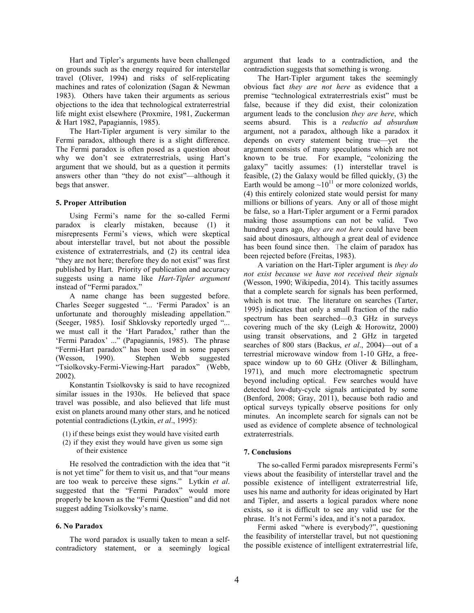Hart and Tipler's arguments have been challenged on grounds such as the energy required for interstellar travel (Oliver, 1994) and risks of self-replicating machines and rates of colonization (Sagan & Newman 1983). Others have taken their arguments as serious objections to the idea that technological extraterrestrial life might exist elsewhere (Proxmire, 1981, Zuckerman & Hart 1982, Papagiannis, 1985).

The Hart-Tipler argument is very similar to the Fermi paradox, although there is a slight difference. The Fermi paradox is often posed as a question about why we don't see extraterrestrials, using Hart's argument that we should, but as a question it permits answers other than "they do not exist"—although it begs that answer.

#### **5. Proper Attribution**

Using Fermi's name for the so-called Fermi paradox is clearly mistaken, because (1) it misrepresents Fermi's views, which were skeptical about interstellar travel, but not about the possible existence of extraterrestrials, and (2) its central idea "they are not here; therefore they do not exist" was first published by Hart. Priority of publication and accuracy suggests using a name like *Hart-Tipler argument* instead of "Fermi paradox."

A name change has been suggested before. Charles Seeger suggested "... 'Fermi Paradox' is an unfortunate and thoroughly misleading appellation." (Seeger, 1985). Iosif Shklovsky reportedly urged "... we must call it the 'Hart Paradox,' rather than the 'Fermi Paradox' ..." (Papagiannis, 1985). The phrase "Fermi-Hart paradox" has been used in some papers (Wesson, 1990). Stephen Webb suggested "Tsiolkovsky-Fermi-Viewing-Hart paradox" (Webb, 2002).

Konstantin Tsiolkovsky is said to have recognized similar issues in the 1930s. He believed that space travel was possible, and also believed that life must exist on planets around many other stars, and he noticed potential contradictions (Lytkin, *et al*., 1995):

- (1) if these beings exist they would have visited earth
- (2) if they exist they would have given us some sign of their existence

He resolved the contradiction with the idea that "it is not yet time" for them to visit us, and that "our means are too weak to perceive these signs." Lytkin *et al*. suggested that the "Fermi Paradox" would more properly be known as the "Fermi Question" and did not suggest adding Tsiolkovsky's name.

#### **6. No Paradox**

The word paradox is usually taken to mean a selfcontradictory statement, or a seemingly logical argument that leads to a contradiction, and the contradiction suggests that something is wrong.

The Hart-Tipler argument takes the seemingly obvious fact *they are not here* as evidence that a premise "technological extraterrestrials exist" must be false, because if they did exist, their colonization argument leads to the conclusion *they are here*, which seems absurd. This is a *reductio ad absurdum*  argument, not a paradox, although like a paradox it depends on every statement being true—yet the argument consists of many speculations which are not known to be true. For example, "colonizing the galaxy" tacitly assumes: (1) interstellar travel is feasible, (2) the Galaxy would be filled quickly, (3) the Earth would be among  $\sim 10^{11}$  or more colonized worlds, (4) this entirely colonized state would persist for many millions or billions of years. Any or all of those might be false, so a Hart-Tipler argument or a Fermi paradox making those assumptions can not be valid. Two hundred years ago, *they are not here* could have been said about dinosaurs, although a great deal of evidence has been found since then. The claim of paradox has been rejected before (Freitas, 1983).

A variation on the Hart-Tipler argument is *they do not exist because we have not received their signals* (Wesson, 1990; Wikipedia, 2014). This tacitly assumes that a complete search for signals has been performed, which is not true. The literature on searches (Tarter, 1995) indicates that only a small fraction of the radio spectrum has been searched—0.3 GHz in surveys covering much of the sky (Leigh & Horowitz, 2000) using transit observations, and 2 GHz in targeted searches of 800 stars (Backus, *et al*., 2004)—out of a terrestrial microwave window from 1-10 GHz, a freespace window up to 60 GHz (Oliver & Billingham, 1971), and much more electromagnetic spectrum beyond including optical. Few searches would have detected low-duty-cycle signals anticipated by some (Benford, 2008; Gray, 2011), because both radio and optical surveys typically observe positions for only minutes. An incomplete search for signals can not be used as evidence of complete absence of technological extraterrestrials.

### **7. Conclusions**

The so-called Fermi paradox misrepresents Fermi's views about the feasibility of interstellar travel and the possible existence of intelligent extraterrestrial life, uses his name and authority for ideas originated by Hart and Tipler, and asserts a logical paradox where none exists, so it is difficult to see any valid use for the phrase. It's not Fermi's idea, and it's not a paradox.

Fermi asked "where is everybody?", questioning the feasibility of interstellar travel, but not questioning the possible existence of intelligent extraterrestrial life,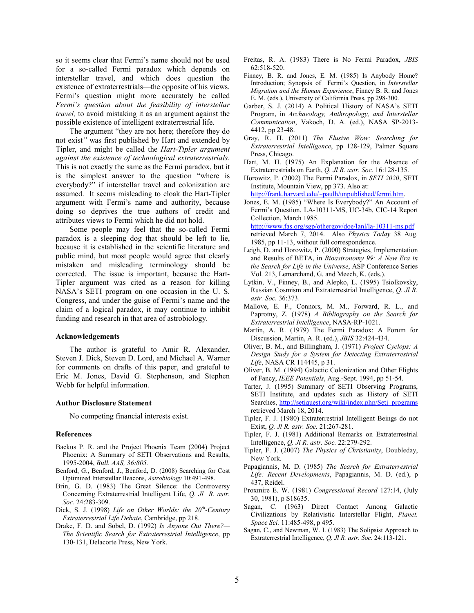so it seems clear that Fermi's name should not be used for a so-called Fermi paradox which depends on interstellar travel, and which does question the existence of extraterrestrials—the opposite of his views. Fermi's question might more accurately be called *Fermi's question about the feasibility of interstellar travel,* to avoid mistaking it as an argument against the possible existence of intelligent extraterrestrial life.

The argument "they are not here; therefore they do not exist*"* was first published by Hart and extended by Tipler, and might be called the *Hart-Tipler argument against the existence of technological extraterrestrials.*  This is not exactly the same as the Fermi paradox, but it is the simplest answer to the question "where is everybody?" if interstellar travel and colonization are assumed. It seems misleading to cloak the Hart-Tipler argument with Fermi's name and authority, because doing so deprives the true authors of credit and attributes views to Fermi which he did not hold.

Some people may feel that the so-called Fermi paradox is a sleeping dog that should be left to lie, because it is established in the scientific literature and public mind, but most people would agree that clearly mistaken and misleading terminology should be corrected. The issue is important, because the Hart-Tipler argument was cited as a reason for killing NASA's SETI program on one occasion in the U. S. Congress, and under the guise of Fermi's name and the claim of a logical paradox, it may continue to inhibit funding and research in that area of astrobiology.

### **Acknowledgements**

The author is grateful to Amir R. Alexander, Steven J. Dick, Steven D. Lord, and Michael A. Warner for comments on drafts of this paper, and grateful to Eric M. Jones, David G. Stephenson, and Stephen Webb for helpful information.

### **Author Disclosure Statement**

No competing financial interests exist.

#### **References**

- Backus P. R. and the Project Phoenix Team (2004) Project Phoenix: A Summary of SETI Observations and Results, 1995-2004, *Bull. AAS, 36:805.*
- Benford, G., Benford, J., Benford, D. (2008) Searching for Cost Optimized Interstellar Beacons, *Astrobiology* 10:491-498.
- Brin, G. D. (1983) The Great Silence: the Controversy Concerning Extraterrestrial Intelligent Life, *Q. Jl R. astr. Soc.* 24:283-309.
- Dick, S. J. (1998) *Life on Other Worlds: the 20th-Century Extraterrestrial Life Debate*, Cambridge, pp 218.
- Drake, F. D. and Sobel, D. (1992) *Is Anyone Out There?— The Scientific Search for Extraterrestrial Intelligence*, pp 130-131, Delacorte Press, New York.
- Freitas, R. A. (1983) There is No Fermi Paradox, *JBIS* 62:518-520.
- Finney, B. R. and Jones, E. M. (1985) Is Anybody Home? Introduction; Synopsis of Fermi's Question, in *Interstellar Migration and the Human Experience*, Finney B. R. and Jones E. M. (eds.), University of California Press, pp 298-300.
- Garber, S. J. (2014) A Political History of NASA's SETI Program, in *Archaeology, Anthropology, and Interstellar Communication*, Vakoch, D. A. (ed.), NASA SP-2013- 4412, pp 23-48.
- Gray, R. H. (2011) *The Elusive Wow: Searching for Extraterrestrial Intelligence*, pp 128-129, Palmer Square Press, Chicago.
- Hart, M. H. (1975) An Explanation for the Absence of Extraterrestrials on Earth, *Q. Jl R. astr. Soc.* 16:128-135.
- Horowitz, P. (2002) The Fermi Paradox, in *SETI 2020*, SETI Institute, Mountain View, pp 373. Also at: http://frank.harvard.edu/~paulh/unpublished/fermi.htm.
- Jones, E. M. (1985) "Where Is Everybody?" An Account of Fermi's Question, LA-10311-MS, UC-34b, CIC-14 Report Collection, March 1985. http://www.fas.org/sgp/othergov/doe/lanl/la-10311-ms.pdf
- retrieved March 7, 2014. Also *Physics Today* 38 Aug. 1985, pp 11-13, without full correspondence.
- Leigh, D. and Horowitz, P. (2000) Strategies, Implementation and Results of BETA, in *Bioastronomy 99: A New Era in the Search for Life in the Universe*, ASP Conference Series Vol. 213, Lemarchand, G. and Meech, K. (eds.).
- Lytkin, V., Finney, B., and Alepko, L. (1995) Tsiolkovsky, Russian Cosmism and Extraterrestrial Intelligence, *Q. Jl R. astr. Soc.* 36:373.
- Mallove, E. F., Connors, M. M., Forward, R. L., and Paprotny, Z*.* (1978) *A Bibliography on the Search for Extraterrestrial Intelligence*, NASA-RP-1021.
- Martin, A. R. (1979) The Fermi Paradox: A Forum for Discussion, Martin, A. R. (ed.), *JBIS* 32:424-434.
- Oliver, B. M., and Billingham, J. (1971) *Project Cyclops: A Design Study for a System for Detecting Extraterrestrial Life*, NASA CR 114445, p 31.
- Oliver, B. M. (1994) Galactic Colonization and Other Flights of Fancy, *IEEE Potentials*, Aug.-Sept. 1994, pp 51-54.
- Tarter, J. (1995) Summary of SETI Observing Programs, SETI Institute, and updates such as History of SETI Searches, http://setiquest.org/wiki/index.php/Seti\_programs retrieved March 18, 2014.
- Tipler, F. J. (1980) Extraterrestrial Intelligent Beings do not Exist, *Q. Jl R. astr. Soc.* 21:267-281.
- Tipler, F. J. (1981) Additional Remarks on Extraterrestrial Intelligence, *Q. Jl R. astr. Soc.* 22:279-292.
- Tipler, F. J. (2007) *The Physics of Christianity*, Doubleday, New York.
- Papagiannis, M. D. (1985) *The Search for Extraterrestrial Life: Recent Developments*, Papagiannis, M. D. (ed.), p 437, Reidel.
- Proxmire E. W. (1981) *Congressional Record* 127:14, (July 30, 1981), p S18635.
- Sagan, C. (1963) Direct Contact Among Galactic Civilizations by Relativistic Interstellar Flight, *Planet. Space Sci.* 11:485-498, p 495.
- Sagan, C., and Newman, W. I. (1983) The Solipsist Approach to Extraterrestrial Intelligence, *Q. Jl R. astr. Soc.* 24:113-121.